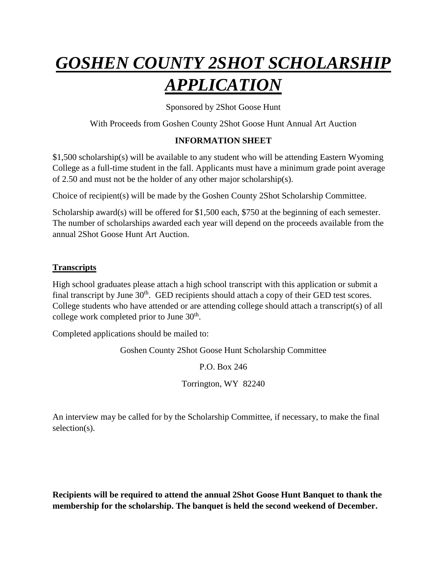## *GOSHEN COUNTY 2SHOT SCHOLARSHIP APPLICATION*

Sponsored by 2Shot Goose Hunt

With Proceeds from Goshen County 2Shot Goose Hunt Annual Art Auction

## **INFORMATION SHEET**

\$1,500 scholarship(s) will be available to any student who will be attending Eastern Wyoming College as a full-time student in the fall. Applicants must have a minimum grade point average of 2.50 and must not be the holder of any other major scholarship(s).

Choice of recipient(s) will be made by the Goshen County 2Shot Scholarship Committee.

Scholarship award(s) will be offered for \$1,500 each, \$750 at the beginning of each semester. The number of scholarships awarded each year will depend on the proceeds available from the annual 2Shot Goose Hunt Art Auction.

## **Transcripts**

High school graduates please attach a high school transcript with this application or submit a final transcript by June  $30<sup>th</sup>$ . GED recipients should attach a copy of their GED test scores. College students who have attended or are attending college should attach a transcript(s) of all college work completed prior to June  $30<sup>th</sup>$ .

Completed applications should be mailed to:

Goshen County 2Shot Goose Hunt Scholarship Committee

P.O. Box 246

Torrington, WY 82240

An interview may be called for by the Scholarship Committee, if necessary, to make the final selection(s).

**Recipients will be required to attend the annual 2Shot Goose Hunt Banquet to thank the membership for the scholarship. The banquet is held the second weekend of December.**